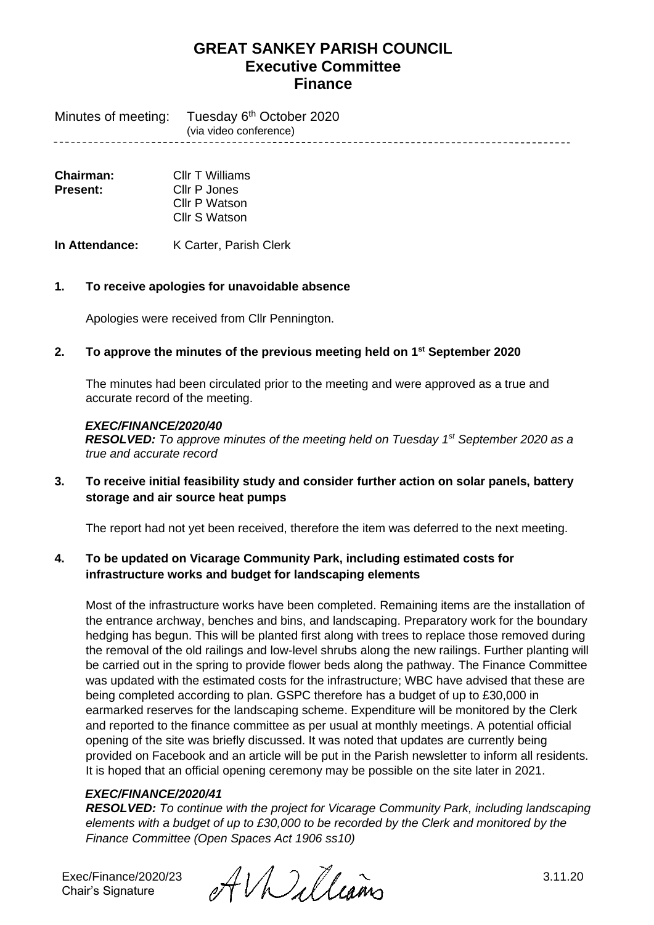Minutes of meeting: Tuesday 6<sup>th</sup> October 2020 (via video conference)

| Chairman: | Cllr T Williams |
|-----------|-----------------|
| Present:  | Cllr P Jones    |
|           | Cllr P Watson   |
|           | Cllr S Watson   |

**In Attendance:** K Carter, Parish Clerk

## **1. To receive apologies for unavoidable absence**

Apologies were received from Cllr Pennington.

### **2. To approve the minutes of the previous meeting held on 1 st September 2020**

The minutes had been circulated prior to the meeting and were approved as a true and accurate record of the meeting.

#### *EXEC/FINANCE/2020/40*

*RESOLVED: To approve minutes of the meeting held on Tuesday 1 st September 2020 as a true and accurate record*

**3. To receive initial feasibility study and consider further action on solar panels, battery storage and air source heat pumps**

The report had not yet been received, therefore the item was deferred to the next meeting.

## **4. To be updated on Vicarage Community Park, including estimated costs for infrastructure works and budget for landscaping elements**

Most of the infrastructure works have been completed. Remaining items are the installation of the entrance archway, benches and bins, and landscaping. Preparatory work for the boundary hedging has begun. This will be planted first along with trees to replace those removed during the removal of the old railings and low-level shrubs along the new railings. Further planting will be carried out in the spring to provide flower beds along the pathway. The Finance Committee was updated with the estimated costs for the infrastructure; WBC have advised that these are being completed according to plan. GSPC therefore has a budget of up to £30,000 in earmarked reserves for the landscaping scheme. Expenditure will be monitored by the Clerk and reported to the finance committee as per usual at monthly meetings. A potential official opening of the site was briefly discussed. It was noted that updates are currently being provided on Facebook and an article will be put in the Parish newsletter to inform all residents. It is hoped that an official opening ceremony may be possible on the site later in 2021.

## *EXEC/FINANCE/2020/41*

*RESOLVED: To continue with the project for Vicarage Community Park, including landscaping elements with a budget of up to £30,000 to be recorded by the Clerk and monitored by the Finance Committee (Open Spaces Act 1906 ss10)*

Chair's Signature

Exec/Finance/2020/23  $\mathcal{A} \mathcal{U}$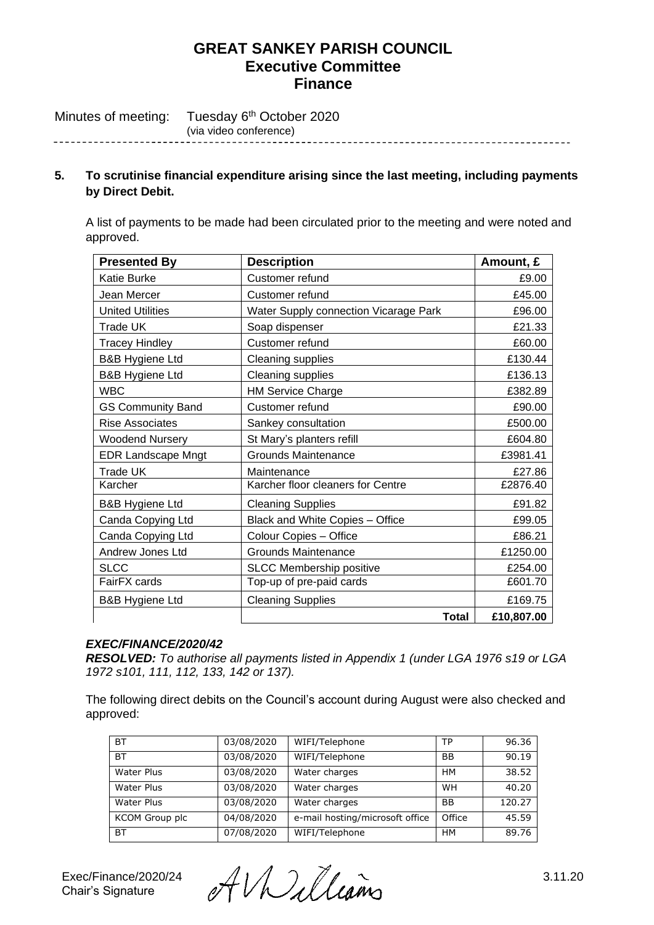Tuesday 6<sup>th</sup> October 2020 Minutes of meeting: (via video conference) <u>--------------</u>-

## **5. To scrutinise financial expenditure arising since the last meeting, including payments by Direct Debit.**

A list of payments to be made had been circulated prior to the meeting and were noted and approved.

| <b>Presented By</b>        | <b>Description</b>                    | Amount, £  |
|----------------------------|---------------------------------------|------------|
| Katie Burke                | Customer refund                       | £9.00      |
| Jean Mercer                | Customer refund                       | £45.00     |
| <b>United Utilities</b>    | Water Supply connection Vicarage Park | £96.00     |
| Trade UK                   | Soap dispenser                        | £21.33     |
| <b>Tracey Hindley</b>      | Customer refund                       | £60.00     |
| <b>B&amp;B Hygiene Ltd</b> | <b>Cleaning supplies</b>              | £130.44    |
| <b>B&amp;B Hygiene Ltd</b> | Cleaning supplies                     | £136.13    |
| <b>WBC</b>                 | <b>HM Service Charge</b>              | £382.89    |
| <b>GS Community Band</b>   | Customer refund                       | £90.00     |
| <b>Rise Associates</b>     | Sankey consultation                   | £500.00    |
| <b>Woodend Nursery</b>     | St Mary's planters refill             | £604.80    |
| <b>EDR Landscape Mngt</b>  | <b>Grounds Maintenance</b>            | £3981.41   |
| <b>Trade UK</b>            | Maintenance                           | £27.86     |
| Karcher                    | Karcher floor cleaners for Centre     | £2876.40   |
| <b>B&amp;B Hygiene Ltd</b> | <b>Cleaning Supplies</b>              | £91.82     |
| Canda Copying Ltd          | Black and White Copies - Office       | £99.05     |
| Canda Copying Ltd          | Colour Copies - Office                | £86.21     |
| <b>Andrew Jones Ltd</b>    | <b>Grounds Maintenance</b>            | £1250.00   |
| <b>SLCC</b>                | <b>SLCC Membership positive</b>       | £254.00    |
| FairFX cards               | Top-up of pre-paid cards              | £601.70    |
| <b>B&amp;B Hygiene Ltd</b> | <b>Cleaning Supplies</b>              | £169.75    |
|                            | Total                                 | £10,807.00 |

## *EXEC/FINANCE/2020/42*

*RESOLVED: To authorise all payments listed in Appendix 1 (under LGA 1976 s19 or LGA 1972 s101, 111, 112, 133, 142 or 137).* 

The following direct debits on the Council's account during August were also checked and approved:

| <b>BT</b>             | 03/08/2020 | WIFI/Telephone                  | ТP        | 96.36  |
|-----------------------|------------|---------------------------------|-----------|--------|
| <b>BT</b>             | 03/08/2020 | WIFI/Telephone                  | ΒB        | 90.19  |
| Water Plus            | 03/08/2020 | Water charges                   | <b>HM</b> | 38.52  |
| Water Plus            | 03/08/2020 | Water charges                   | <b>WH</b> | 40.20  |
| Water Plus            | 03/08/2020 | Water charges                   | <b>BB</b> | 120.27 |
| <b>KCOM</b> Group plc | 04/08/2020 | e-mail hosting/microsoft office | Office    | 45.59  |
| <b>BT</b>             | 07/08/2020 | WIFI/Telephone                  | <b>HM</b> | 89.76  |

Exec/Finance/2020/24  $\mathcal{A} \cup \mathcal{A}$  (Lamo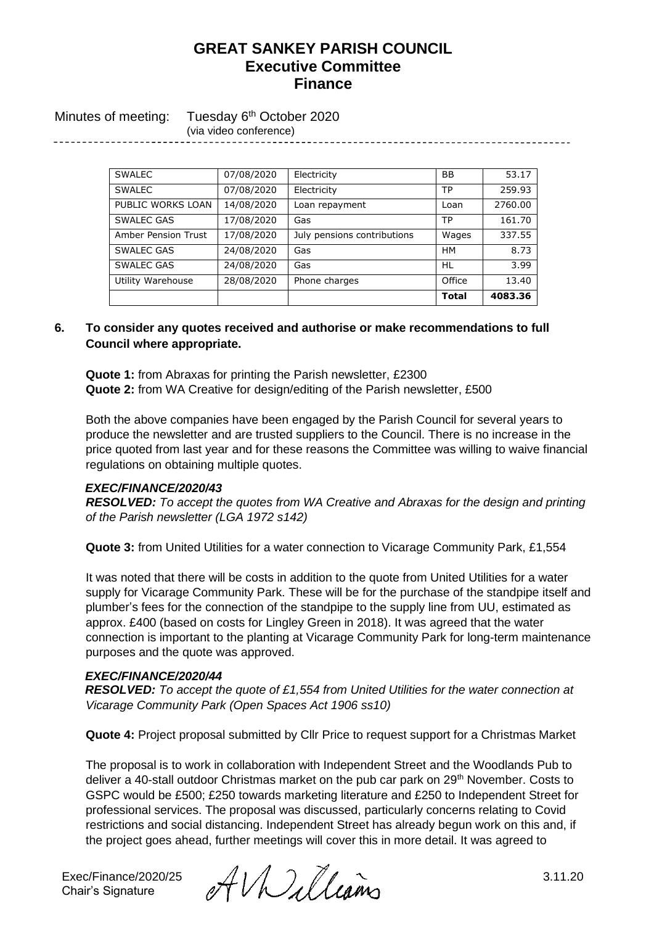Minutes of meeting: Tuesday 6<sup>th</sup> October 2020 (via video conference)

| <b>SWALEC</b>       | 07/08/2020 | Electricity                 | BB           | 53.17   |
|---------------------|------------|-----------------------------|--------------|---------|
| <b>SWALEC</b>       | 07/08/2020 | Electricity                 | TP           | 259.93  |
| PUBLIC WORKS LOAN   | 14/08/2020 | Loan repayment              | Loan         | 2760.00 |
| <b>SWALEC GAS</b>   | 17/08/2020 | Gas                         | <b>TP</b>    | 161.70  |
| Amber Pension Trust | 17/08/2020 | July pensions contributions | Wages        | 337.55  |
| <b>SWALEC GAS</b>   | 24/08/2020 | Gas                         | <b>HM</b>    | 8.73    |
| <b>SWALEC GAS</b>   | 24/08/2020 | Gas                         | HL           | 3.99    |
| Utility Warehouse   | 28/08/2020 | Phone charges               | Office       | 13.40   |
|                     |            |                             | <b>Total</b> | 4083.36 |

## **6. To consider any quotes received and authorise or make recommendations to full Council where appropriate.**

**Quote 1:** from Abraxas for printing the Parish newsletter, £2300 **Quote 2:** from WA Creative for design/editing of the Parish newsletter, £500

Both the above companies have been engaged by the Parish Council for several years to produce the newsletter and are trusted suppliers to the Council. There is no increase in the price quoted from last year and for these reasons the Committee was willing to waive financial regulations on obtaining multiple quotes.

#### *EXEC/FINANCE/2020/43*

*RESOLVED: To accept the quotes from WA Creative and Abraxas for the design and printing of the Parish newsletter (LGA 1972 s142)*

**Quote 3:** from United Utilities for a water connection to Vicarage Community Park, £1,554

It was noted that there will be costs in addition to the quote from United Utilities for a water supply for Vicarage Community Park. These will be for the purchase of the standpipe itself and plumber's fees for the connection of the standpipe to the supply line from UU, estimated as approx. £400 (based on costs for Lingley Green in 2018). It was agreed that the water connection is important to the planting at Vicarage Community Park for long-term maintenance purposes and the quote was approved.

#### *EXEC/FINANCE/2020/44*

*RESOLVED: To accept the quote of £1,554 from United Utilities for the water connection at Vicarage Community Park (Open Spaces Act 1906 ss10)*

**Quote 4:** Project proposal submitted by Cllr Price to request support for a Christmas Market

The proposal is to work in collaboration with Independent Street and the Woodlands Pub to deliver a 40-stall outdoor Christmas market on the pub car park on 29<sup>th</sup> November. Costs to GSPC would be £500; £250 towards marketing literature and £250 to Independent Street for professional services. The proposal was discussed, particularly concerns relating to Covid restrictions and social distancing. Independent Street has already begun work on this and, if the project goes ahead, further meetings will cover this in more detail. It was agreed to

Chair's Signature

Exec/Finance/2020/25  $AVM$  and  $B$  3.11.20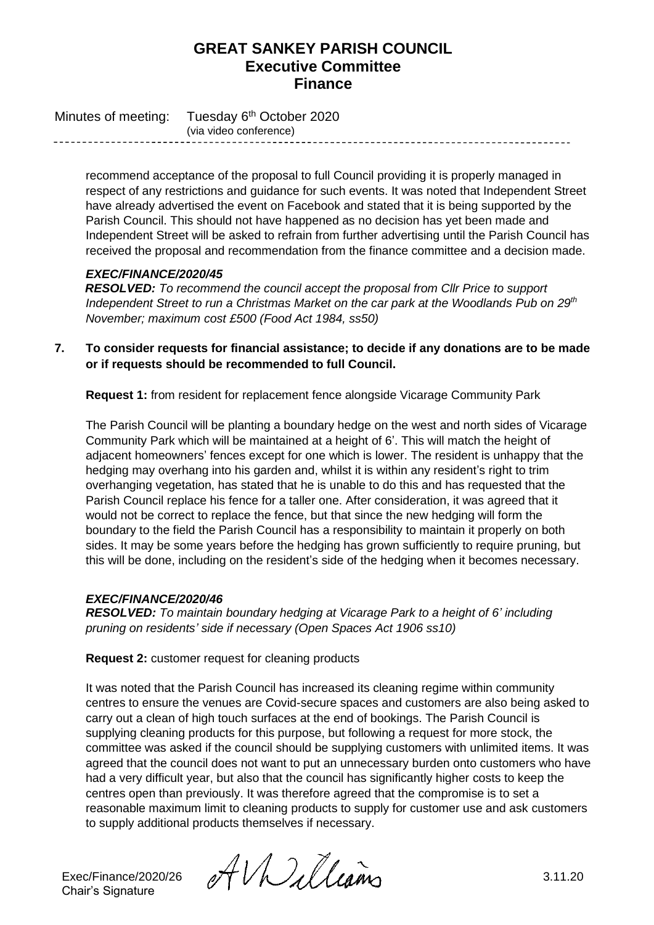Minutes of meeting: Tuesday 6<sup>th</sup> October 2020 (via video conference)

> recommend acceptance of the proposal to full Council providing it is properly managed in respect of any restrictions and guidance for such events. It was noted that Independent Street have already advertised the event on Facebook and stated that it is being supported by the Parish Council. This should not have happened as no decision has yet been made and Independent Street will be asked to refrain from further advertising until the Parish Council has received the proposal and recommendation from the finance committee and a decision made.

## *EXEC/FINANCE/2020/45*

*RESOLVED: To recommend the council accept the proposal from Cllr Price to support Independent Street to run a Christmas Market on the car park at the Woodlands Pub on 29th November; maximum cost £500 (Food Act 1984, ss50)*

**7. To consider requests for financial assistance; to decide if any donations are to be made or if requests should be recommended to full Council.**

**Request 1:** from resident for replacement fence alongside Vicarage Community Park

The Parish Council will be planting a boundary hedge on the west and north sides of Vicarage Community Park which will be maintained at a height of 6'. This will match the height of adjacent homeowners' fences except for one which is lower. The resident is unhappy that the hedging may overhang into his garden and, whilst it is within any resident's right to trim overhanging vegetation, has stated that he is unable to do this and has requested that the Parish Council replace his fence for a taller one. After consideration, it was agreed that it would not be correct to replace the fence, but that since the new hedging will form the boundary to the field the Parish Council has a responsibility to maintain it properly on both sides. It may be some years before the hedging has grown sufficiently to require pruning, but this will be done, including on the resident's side of the hedging when it becomes necessary.

## *EXEC/FINANCE/2020/46*

*RESOLVED: To maintain boundary hedging at Vicarage Park to a height of 6' including pruning on residents' side if necessary (Open Spaces Act 1906 ss10)*

**Request 2:** customer request for cleaning products

It was noted that the Parish Council has increased its cleaning regime within community centres to ensure the venues are Covid-secure spaces and customers are also being asked to carry out a clean of high touch surfaces at the end of bookings. The Parish Council is supplying cleaning products for this purpose, but following a request for more stock, the committee was asked if the council should be supplying customers with unlimited items. It was agreed that the council does not want to put an unnecessary burden onto customers who have had a very difficult year, but also that the council has significantly higher costs to keep the centres open than previously. It was therefore agreed that the compromise is to set a reasonable maximum limit to cleaning products to supply for customer use and ask customers to supply additional products themselves if necessary.

Chair's Signature

Exec/Finance/2020/26  $\mathcal{AUUU}$ lleans